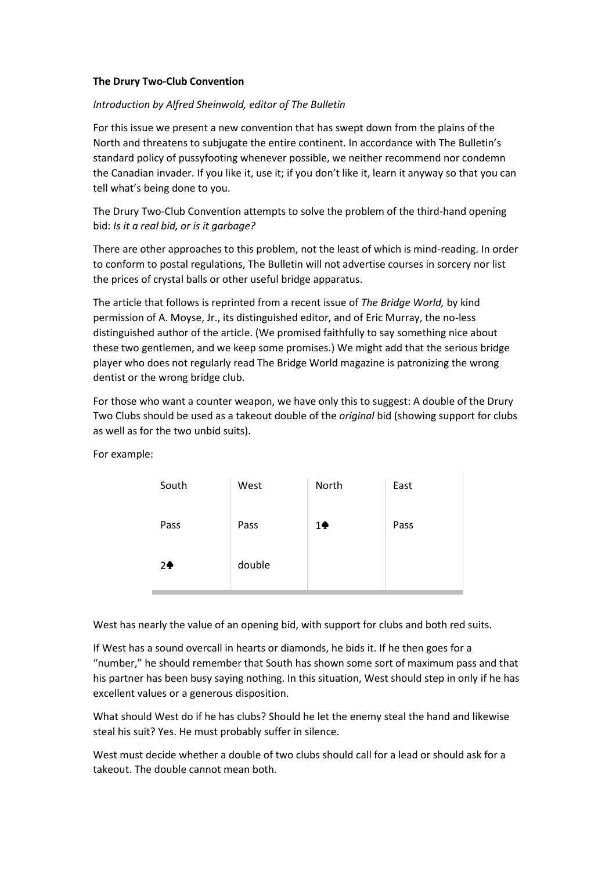#### **The Drury Two-Club Convention**

### *Introduction by Alfred Sheinwold, editor of The Bulletin*

For this issue we present a new convention that has swept down from the plains of the North and threatens to subjugate the entire continent. In accordance with The Bulletin's standard policy of pussyfooting whenever possible, we neither recommend nor condemn the Canadian invader. If you like it, use it; if you don't like it, learn it anyway so that you can tell what's being done to you.

The Drury Two-Club Convention attempts to solve the problem of the third-hand opening bid: *Is it a real bid, or is it garbage?*

There are other approaches to this problem, not the least of which is mind-reading. In order to conform to postal regulations, The Bulletin will not advertise courses in sorcery nor list the prices of crystal balls or other useful bridge apparatus.

The article that follows is reprinted from a recent issue of *The Bridge World,* by kind permission of A. Moyse, Jr., its distinguished editor, and of Eric Murray, the no-less distinguished author of the article. (We promised faithfully to say something nice about these two gentlemen, and we keep some promises.) We might add that the serious bridge player who does not regularly read The Bridge World magazine is patronizing the wrong dentist or the wrong bridge club.

For those who want a counter weapon, we have only this to suggest: A double of the Drury Two Clubs should be used as a takeout double of the *original* bid (showing support for clubs as well as for the two unbid suits).

For example:

| South          | West   | North         | East |
|----------------|--------|---------------|------|
| Pass           | Pass   | $1\spadesuit$ | Pass |
| 2 <sup>4</sup> | double |               |      |

West has nearly the value of an opening bid, with support for clubs and both red suits.

If West has a sound overcall in hearts or diamonds, he bids it. If he then goes for a "number," he should remember that South has shown some sort of maximum pass and that his partner has been busy saying nothing. In this situation, West should step in only if he has excellent values or a generous disposition.

What should West do if he has clubs? Should he let the enemy steal the hand and likewise steal his suit? Yes. He must probably suffer in silence.

West must decide whether a double of two clubs should call for a lead or should ask for a takeout. The double cannot mean both.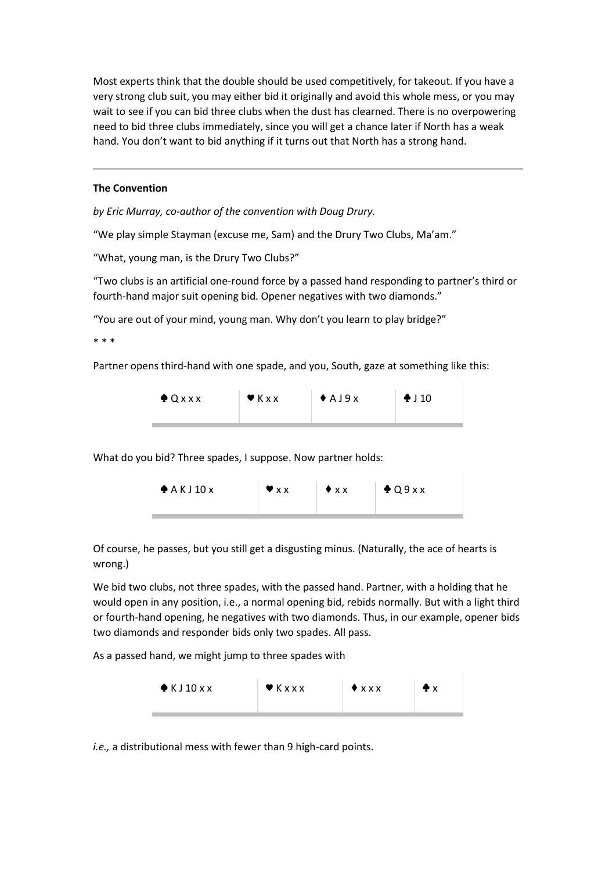Most experts think that the double should be used competitively, for takeout. If you have a very strong club suit, you may either bid it originally and avoid this whole mess, or you may wait to see if you can bid three clubs when the dust has clearned. There is no overpowering need to bid three clubs immediately, since you will get a chance later if North has a weak hand. You don't want to bid anything if it turns out that North has a strong hand.

### **The Convention**

*by Eric Murray, co-author of the convention with Doug Drury.*

"We play simple Stayman (excuse me, Sam) and the Drury Two Clubs, Ma'am."

"What, young man, is the Drury Two Clubs?"

"Two clubs is an artificial one-round force by a passed hand responding to partner's third or fourth-hand major suit opening bid. Opener negatives with two diamonds."

"You are out of your mind, young man. Why don't you learn to play bridge?"

\* \* \*

Partner opens third-hand with one spade, and you, South, gaze at something like this:

|  | $Q$ $XX$ | $\blacktriangledown$ K x x | $A$ A J $9x$ | $\bigoplus$ J 10 |
|--|----------|----------------------------|--------------|------------------|
|--|----------|----------------------------|--------------|------------------|

What do you bid? Three spades, I suppose. Now partner holds:



Of course, he passes, but you still get a disgusting minus. (Naturally, the ace of hearts is wrong.)

We bid two clubs, not three spades, with the passed hand. Partner, with a holding that he would open in any position, i.e., a normal opening bid, rebids normally. But with a light third or fourth-hand opening, he negatives with two diamonds. Thus, in our example, opener bids two diamonds and responder bids only two spades. All pass.

As a passed hand, we might jump to three spades with



*i.e.,* a distributional mess with fewer than 9 high-card points.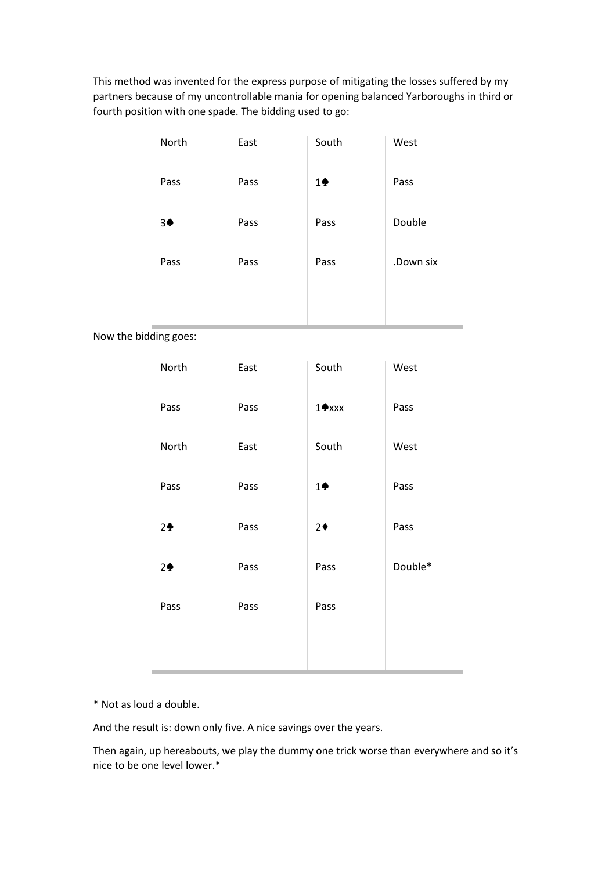This method was invented for the express purpose of mitigating the losses suffered by my partners because of my uncontrollable mania for opening balanced Yarboroughs in third or fourth position with one spade. The bidding used to go:

|                       | North          | East | South                   | West      |
|-----------------------|----------------|------|-------------------------|-----------|
|                       | Pass           | Pass | $1\spadesuit$           | Pass      |
|                       | 3 <sup>•</sup> | Pass | Pass                    | Double    |
|                       | Pass           | Pass | Pass                    | .Down six |
|                       |                |      |                         |           |
| Now the bidding goes: |                |      |                         |           |
|                       | North          | East | South                   | West      |
|                       | Pass           | Pass | $1$ $\blacklozenge$ xxx | Pass      |
|                       | North          | East | South                   | West      |
|                       | Pass           | Pass | $1\spadesuit$           | Pass      |
|                       | 2 <sup>4</sup> | Pass | $2+$                    | Pass      |
|                       | 2 <sub>•</sub> | Pass | Pass                    | Double*   |
|                       | Pass           | Pass | Pass                    |           |
|                       |                |      |                         |           |
|                       |                |      |                         |           |

\* Not as loud a double.

And the result is: down only five. A nice savings over the years.

Then again, up hereabouts, we play the dummy one trick worse than everywhere and so it's nice to be one level lower.\*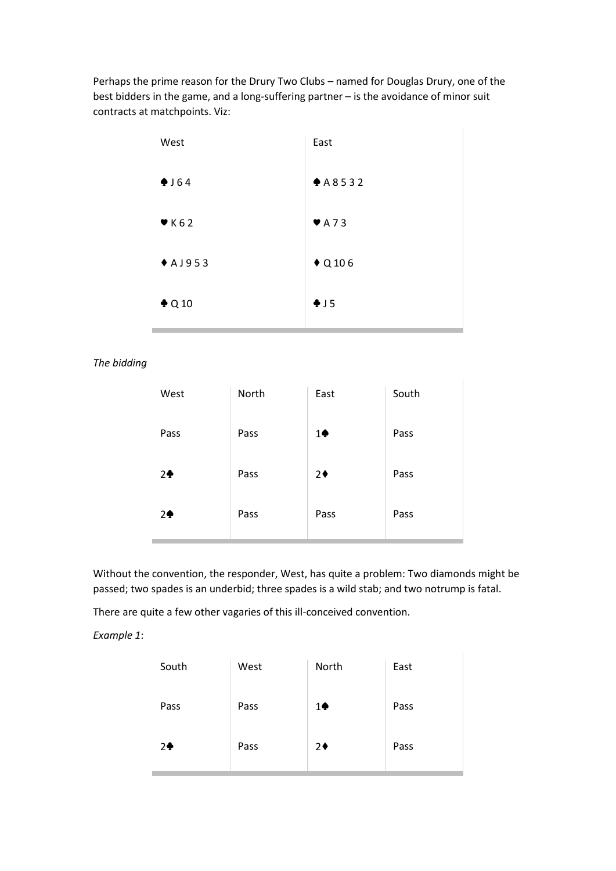Perhaps the prime reason for the Drury Two Clubs – named for Douglas Drury, one of the best bidders in the game, and a long-suffering partner – is the avoidance of minor suit contracts at matchpoints. Viz:

| West             | East                      |
|------------------|---------------------------|
| •164             | A8532                     |
| K62              | $\blacktriangledown$ A 73 |
| $A$ A J 9 5 3    | $\blacklozenge$ Q 106     |
| $\triangle$ Q 10 | $+15$                     |

*The bidding*

| West           | North | East          | South |
|----------------|-------|---------------|-------|
| Pass           | Pass  | $1\spadesuit$ | Pass  |
| 2 <sup>4</sup> | Pass  | $2+$          | Pass  |
| 2 <sub>2</sub> | Pass  | Pass          | Pass  |

Without the convention, the responder, West, has quite a problem: Two diamonds might be passed; two spades is an underbid; three spades is a wild stab; and two notrump is fatal.

There are quite a few other vagaries of this ill-conceived convention.

*Example 1*:

| South          | West | North          | East |
|----------------|------|----------------|------|
| Pass           | Pass | $1\spadesuit$  | Pass |
| 2 <sup>4</sup> | Pass | 2 <sub>0</sub> | Pass |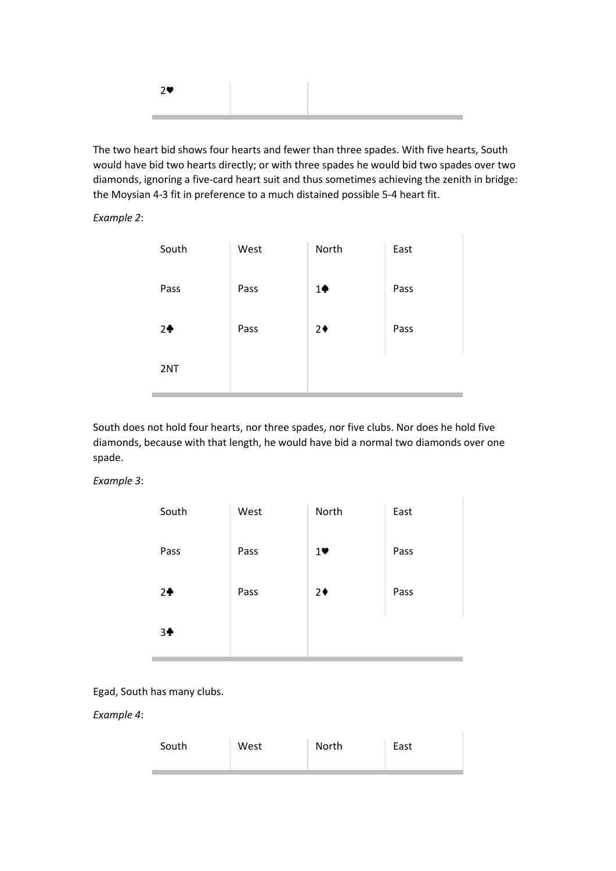|--|

The two heart bid shows four hearts and fewer than three spades. With five hearts, South would have bid two hearts directly; or with three spades he would bid two spades over two diamonds, ignoring a five-card heart suit and thus sometimes achieving the zenith in bridge: the Moysian 4-3 fit in preference to a much distained possible 5-4 heart fit.

*Example 2*:

| South          | West | North         | East |
|----------------|------|---------------|------|
| Pass           | Pass | $1\spadesuit$ | Pass |
| 2 <sup>4</sup> | Pass | $2+$          | Pass |
| 2NT            |      |               |      |

South does not hold four hearts, nor three spades, nor five clubs. Nor does he hold five diamonds, because with that length, he would have bid a normal two diamonds over one spade.

# *Example 3*:

| South          | West | North | East |
|----------------|------|-------|------|
| Pass           | Pass | 1     | Pass |
| 2 <sup>4</sup> | Pass | $2*$  | Pass |
| 3 <sup>4</sup> |      |       |      |

Egad, South has many clubs.

*Example 4*:

| South<br>North<br>East<br>West |  |
|--------------------------------|--|
|--------------------------------|--|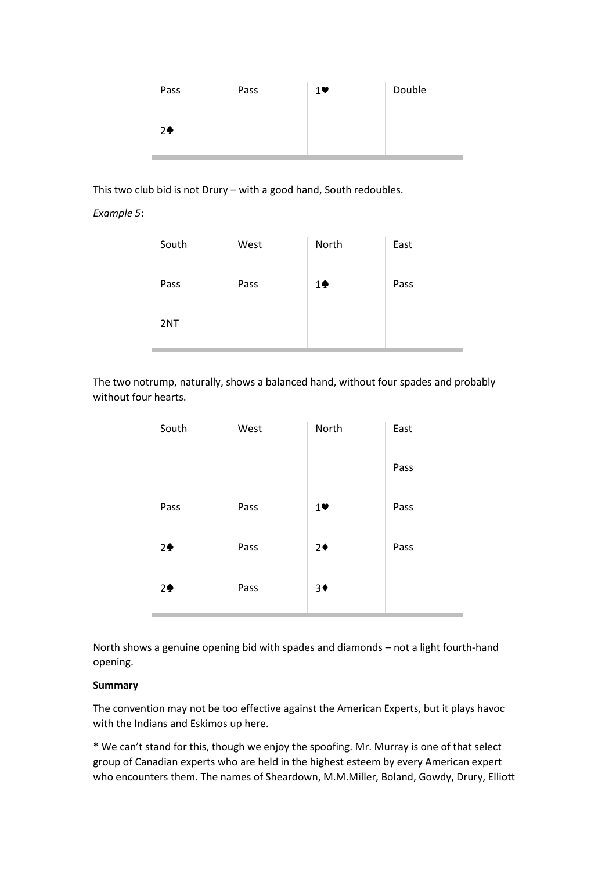| Pass           | Pass | $1$ V | Double |
|----------------|------|-------|--------|
|                |      |       |        |
| 2 <sup>4</sup> |      |       |        |
|                |      |       |        |

This two club bid is not Drury – with a good hand, South redoubles.

*Example 5*:

| South | West | North         | East |
|-------|------|---------------|------|
| Pass  | Pass | $1\spadesuit$ | Pass |
| 2NT   |      |               |      |

The two notrump, naturally, shows a balanced hand, without four spades and probably without four hearts.

| South          | West | North | East |
|----------------|------|-------|------|
|                |      |       | Pass |
| Pass           | Pass | 1     | Pass |
| 2 <sup>4</sup> | Pass | $2+$  | Pass |
| 2 <sub>2</sub> | Pass | $3*$  |      |

North shows a genuine opening bid with spades and diamonds – not a light fourth-hand opening.

# **Summary**

The convention may not be too effective against the American Experts, but it plays havoc with the Indians and Eskimos up here.

\* We can't stand for this, though we enjoy the spoofing. Mr. Murray is one of that select group of Canadian experts who are held in the highest esteem by every American expert who encounters them. The names of Sheardown, M.M.Miller, Boland, Gowdy, Drury, Elliott